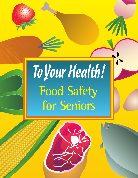

# **Food Safety for Seniors** ToYour Health!

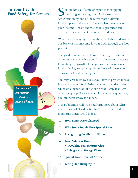*An ounce of prevention is worth a pound of cure.*

To Your Health! eniors have a lifetime of experience shopping, Food Safety for Seniors **Demach Suppreparing and eating food. And fortunately,** Americans enjoy one of the safest most healthful food supplies in the world. But a lot has changed over your lifetime— from the way food is produced and distributed, to the way it is prepared and eaten. **S**

> What is also changing is your ability to fight-off dangerous bacteria that may invade your body through the food you eat.

> The good news is that well-known saying — "An ounce of prevention is worth a pound of cure"— remains true. Preventing the growth of dangerous microorganisms in food is the key to reducing the millions of illnesses and thousands of deaths each year.

> You may already know a lot about how to prevent illness from mishandled food. Federal studies show that older adults do a better job of handling food safely than any other age group. Even so, when it comes to staying safe, you can never know too much.

This publication will help you learn more about what many of us call "food poisoning"—the experts call it foodborne illness.We'll look at:

- **2 How Times Have Changed**
- **2 Why Some People Face Special Risks**
- **3 Recognizing Foodborne Illness**
- **4 Food Safety at Home**
	- **• A Cooking Temperature Chart**
	- **Refrigerator Storage Chart**
- **12 Special Foods, Special Advice**
- **13 Eating Out, Bringing In**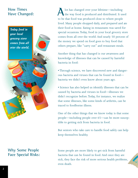*Today food in* 

*grocery store*

*comes from all over the world.*

*your local* 

**How Times** and **lot** has changed over your lifetime—including Have Changed: **the Way food is produced and distributed.** It used to be that food was produced close to where people lived. Many people shopped daily, and prepared and ate their food at home. Eating in restaurants was saved for special occasions.Today, food in your local grocery store comes from all over the world. And nearly 50 percent of the money we spend on food goes to buy food that others prepare, like "carry out" and restaurant meals. **A**

> Another thing that has changed is our awareness and knowledge of illnesses that can be caused by harmful bacteria in food:

• Through science, we have discovered new and dangerous bacteria and viruses that can be found in food bacteria we didn't even know about years ago.

• Science has also helped us identify illnesses that can be caused by bacteria and viruses in food—illnesses we didn't recognize before.Today, for instance, we realize that some illnesses, like some kinds of arthritis, can be traced to foodborne illness.

One of the other things that we know today is that some people—including people over 65—can be more susceptible to getting sick from bacteria in food.

But seniors who take care to handle food safely can help keep themselves healthy.

**Why Some People** Some people are more likely to get sick from harmful **Face Special Risks:** bacteria that can be found in food. And once they are sick, they face the risk of more serious health problems, even death.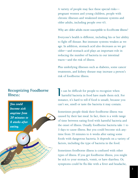A variety of people may face these special risks pregnant women and young children, people with chronic illnesses and weakened immune systems and older adults, including people over 65.

Why are older adults more susceptible to food borne illness?

Everyone's health is different, including his or her ability to fight off disease. But immune systems weaken as we age. In addition, stomach acid also decreases as we get older—and stomach acid plays an important role in reducing the number of bacteria in our intestinal tracts—and the risk of illness.

Plus underlying illnesses such as diabetes, some cancer treatments, and kidney disease may increase a person's risk of foodborne illness.

**Recognizing Foodborne**  $\begin{bmatrix} 1 \end{bmatrix}$  t can be difficult for people to recognize when **IIIness: Illness: harmful bacteria in food have made them sick. For** instance, it's hard to tell if food is unsafe, because you can't see, smell or taste the bacteria it may contain.

> Sometimes people think their foodborne illness was caused by their last meal. In fact, there is a wide range of time between eating food with harmful bacteria and the onset of illness. Usually foodborne bacteria take 1 to 3 days to cause illness. But you could become sick anytime from 20 minutes to 6 weeks after eating some foods with dangerous bacteria. It depends on a variety of factors, including the type of bacteria in the food.

Sometimes foodborne illness is confused with other types of illness. If you get foodborne illness, you might be sick to your stomach, vomit, or have diarrhea. Or, symptoms could be flu-like with a fever and headache,

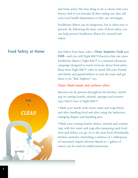and body aches.The best thing to do is check with your doctor. And if you become ill after eating out, also call your local health department so they can investigate.

Foodborne illness can be dangerous, but is often easy to prevent. By following the basic rules of food safety, you can help prevent foodborne illness for yourself and others.



# **Clean: Wash hands and surfaces often**

Bacteria can be present throughout the kitchen, including on cutting boards, utensils, sponges and counter tops. Here's how to Fight BAC!®

• Wash your hands with warm water and soap before and after handling food and after using the bathroom, changing diapers and handling pets.

• Wash your cutting boards, dishes, utensils and counter tops with hot water and soap after preparing each food item and before you go on to the next food. Periodically, kitchen sanitizers (including a solution of 1 tablespoon of unscented, liquid chlorine bleach to 1 gallon of water) can be used for added protection.

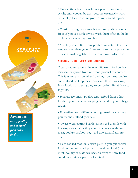

*and seafood from other foods.*

• Once cutting boards (including plastic, non-porous, acrylic and wooden boards) become excessively worn or develop hard-to-clean grooves, you should replace them.

• Consider using paper towels to clean up kitchen surfaces. If you use cloth towels, wash them often in the hot cycle of your washing machine.

• Also Important: Rinse raw produce in water. Don't use soap or other detergents. If necessary — and appropriate — use a small vegetable brush to remove surface dirt.

# **Separate: Don't cross-contaminate**

Cross-contamination is the scientific word for how bacteria can be spread from one food product to another. This is especially true when handling raw meat, poultry and seafood, so keep these foods and their juices away from foods that aren't going to be cooked. Here's how to Fight BAC!®

• Separate raw meat, poultry and seafood from other foods in your grocery-shopping cart and in your refrigerator.

• If possible, use a different cutting board for raw meat, poultry and seafood products.

• Always wash cutting boards, dishes and utensils with hot soapy water after they come in contact with raw meat, poultry, seafood, eggs and unwashed fresh produce.

• Place cooked food on a clean plate. If you put cooked food on the unwashed plate that held raw food (like meat, poultry or seafood), bacteria from the raw food could contaminate your cooked food.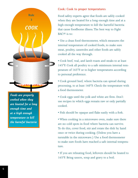

*Foods are properly cooked when they are heated for a long enough time and at a high enough temperature to kill the harmful bacteria* 

# **Cook: Cook to proper temperatures**

Food safety experts agree that foods are safely cooked when they are heated for a long enough time and at a high enough temperature to kill the harmful bacteria that cause foodborne illness.The best way to Fight BAC!® is to:

• Use a clean food thermometer, which measures the internal temperature of cooked foods, to make sure meat, poultry, casseroles and other foods are safely cooked all the way through.

• Cook beef, veal, and lamb roasts and steaks to at least 145°F. Cook all poultry to a safe minimum internal temperature of 165°F or to higher temperatures according to personal preference.

• Cook ground beef, where bacteria can spread during processing, to at least 160°F. Check the temperature with a food thermometer.

• Cook eggs until the yolk and white are firm. Don't use recipes in which eggs remain raw or only partially cooked.

• Fish should be opaque and flake easily with a fork.

• When cooking in a microwave oven, make sure there are no cold spots in food where bacteria can survive. To do this, cover food, stir and rotate the dish by hand once or twice during cooking. (Unless you have a turntable in the microwave.) Use a food thermometer to make sure foods have reached a safe internal temperature.

• If you are reheating food, leftovers should be heated to 165ºF. Bring sauces, soup and gravy to a boil.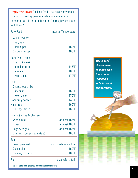**Apply the Heat!** Cooking food—especially raw meat, poultry, fish and eggs—to a safe minimum internal temperature kills harmful bacteria. Thoroughly cook food as follows\*:

| Raw Food                     | Internal Temperature  |  |
|------------------------------|-----------------------|--|
| <b>Ground Products</b>       |                       |  |
| Beef, veal,                  |                       |  |
| lamb, pork                   | $160^{\circ}$ F       |  |
| Chicken, turkey              | $165^{\circ}F$        |  |
| Beef, Veal, Lamb             |                       |  |
| Roasts & steaks              |                       |  |
| medium-rare                  | $145^{\circ}$ F       |  |
| medium                       | $160^{\circ}$ F       |  |
| well-done                    | 170°F                 |  |
| Pork                         |                       |  |
| Chops, roast, ribs           |                       |  |
| medium                       | $160^{\circ}$ F       |  |
| well-done                    | 170°F                 |  |
| Ham, fully cooked            | $140^{\circ}F$        |  |
| Ham, fresh                   | $160^{\circ}$ F       |  |
| Sausage, fresh               | $160^{\circ}F$        |  |
| Poultry (Turkey & Chicken)   |                       |  |
| Whole bird                   | at least 165°F        |  |
| <b>Breast</b>                | at least 165°F        |  |
| Legs & thighs                | at least 165°F        |  |
| Stuffing (cooked separately) | $165^{\circ}$ F       |  |
| Eggs                         |                       |  |
| Fried, poached               | yolk & white are firm |  |
| Casseroles                   | $160^{\circ}$ F       |  |
| Sauces, custards             | 160°F                 |  |
| Fish                         | flakes with a fork    |  |
|                              |                       |  |

*Use a food thermometer to make sure foods have reached a safe internal temperature.*

\*This chart provides guidance for cooking foods at home.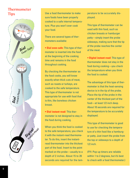# **Thermometer Tips**



Use a food thermometer to make sure foods have been properly cooked to a safe internal temperature. Plus you won't over cook your food.

There are several types of thermometers available:

**• Dial oven-safe:** This type of thermometer is inserted into the food at the beginning of the cooking time and remains in the food throughout cooking.

By checking the thermometer as the food cooks, you will know exactly when thick cuts of meat, such as roasts or turkeys, are cooked to the safe temperature. This type of thermometer is not appropriate for use with food that is thin, like boneless chicken breast.

**• Dial instant-read:** This thermometer is not designed to stay in the food during cooking.

When you think the food is cooked to the safe temperature, you check it with the instant-read thermometer. To do this, insert the instantread thermometer into the thickest part of the food. Insert to the point marked on the probe—usually to a depth of 2 inches. About 15 to 20 seconds are required for the temperature to be accurately displayed.

This type of thermometer can be used with thin food, such as chicken breasts or hamburger patty—simply insert the probe sideways, making sure that the tip of the probe reaches the center of the meat.

**• Digital instant-read:** This type of thermometer does not stay in the food during cooking—you check the temperature when you think the food is cooked.

The advantage of this type of thermometer is that the heat-sensing device is in the tip of the probe. Place the tip of the probe in the center of the thickest part of the food—at least 1/2 inch deep. About 10 seconds are required for the temperature to be accurately displayed.

This type of thermometer is good to use for checking the temperature of a thin food like a hamburger patty. Just insert the probe from the top or sideways to a depth of 1/2 inch.

(FYI: Pop-up timers are reliable within 1 to 2 degrees, but it's best to check with a food thermometer.)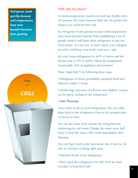*Refrigerate foods quickly because cold temperatures keep most harmful bacteria from growing.*



# **Chill: Did You Know?**

At room temperature, bacteria in food can double every 20 minutes.The more bacteria there are, the greater the chance you could become sick.

So, refrigerate foods quickly because cold temperatures keep most harmful bacteria from multiplying. A lot of people think it will harm their refrigerator to put hot food inside—it's not true. It won't harm your refrigerator and it will keep your food—and you—safe.

Set your home refrigerator to 40°F or below and the freezer unit to 0°F or below. Check the temperature occasionally with an appliance thermometer.

Then, Fight BAC!® by following these steps:

• Refrigerate or freeze perishables, prepared food and leftovers within 2 hours.

• Divide large amounts of leftovers into shallow containers for quick cooling in the refrigerator.

# • **Safe Thawing:**

Never thaw foods at room temperature. You can safely thaw food in the refrigerator. Four to five pounds takes 24 hours to thaw.

You can also thaw food outside the refrigerator by immersing in cold water. Change the water every half hour to keep the water cold. Cook immediately after thawing.

You can thaw food in the microwave, but if you do, be sure to continue cooking right away.

- Marinate foods in the refrigerator.
- Don't pack the refrigerator too full. Cold air must circulate to keep food safe.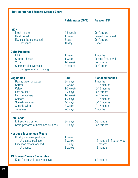# **Refrigerator and Freezer Storage Chart**

|                                      | <b>Refrigerator (40°F)</b> | Freezer (0°F)              |
|--------------------------------------|----------------------------|----------------------------|
| <b>Eggs</b>                          |                            |                            |
| Fresh, in shell                      | 4-5 weeks                  | Don't freeze               |
| <b>Hardcooked</b>                    | 1 week                     | Doesn't freeze well        |
| Egg substitutes, opened              | 3 days                     | Don't freeze               |
| Unopened                             | 10 days                    | 1 year                     |
| <b>Dairy Products</b>                |                            |                            |
| Milk                                 | 1 week                     | 3 months                   |
| Cottage cheese                       | 1 week                     | Doesn't freeze well        |
| Yogurt                               | 1-2 weeks                  | 1-2 months                 |
| Commercial mayonnaise                | 2 months                   | Don't freeze               |
| (refrigerate after opening)          |                            |                            |
| <b>Vegetables</b>                    | <b>Raw</b>                 | <b>Blanched/cooked</b>     |
| Beans, green or waxed                | 3-4 days                   | 8 months                   |
| Carrots                              | 2 weeks                    | 10-12 months               |
| Celery                               | 1-2 weeks                  | 10-12 months               |
| Lettuce, leaf                        | 3-7 days                   | Don't freeze               |
| Lettuce, iceberg                     | 1-2 weeks                  | Don't freeze               |
| Spinach                              | 1-2 days                   | 10-12 months               |
| Squash, summer                       | 4-5 days                   | 10-12 months               |
| Squash, winter                       | 2 weeks                    | 10-12 months               |
| <b>Tomatoes</b>                      | 2-3 days                   | 2 months                   |
| <b>Deli Foods</b>                    |                            |                            |
| Entrees, cold or hot                 | 3-4 days                   | 2-3 months                 |
| Store-prepared or homemade) salads   | 3-5 days                   | Don't freeze               |
| <b>Hot dogs &amp; Luncheon Meats</b> |                            |                            |
| Hotdogs, opened package              | 1 week                     |                            |
| Unopened package                     | 2 weeks                    | 1-2 months in freezer wrap |
| Luncheon meats, opened               | 3-5 days                   | 1-2 months                 |
| Unopened                             | 2 weeks                    | 1-2 months                 |
| <b>TV Dinners/Frozen Casseroles</b>  |                            |                            |
| Keep frozen until ready to serve     |                            | 3-4 months                 |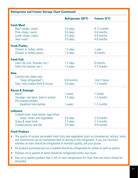| <b>Refrigerator and Freezer Storage Chart (Continued)</b> |                            |               |  |
|-----------------------------------------------------------|----------------------------|---------------|--|
|                                                           | <b>Refrigerator (40°F)</b> | Freezer (0°F) |  |
| <b>Fresh Meat</b>                                         |                            |               |  |
| Beef-steaks, roasts                                       | 3-5 days                   | 6-12 months   |  |
| Pork-chops, roasts                                        | 3-5 days                   | 4-6 months    |  |
| Lamb-chops, roasts                                        | 3-5 days                   | 6-9 months    |  |
| Veal-roast                                                | 3-5 days                   | 4-6 months    |  |
| <b>Fresh Poultry</b>                                      |                            |               |  |
| Chicken or turkey, whole                                  | 1-2 days                   | 1 year        |  |
| Chicken or turkey pieces                                  | 1-2 days                   | 9 months      |  |
| <b>Fresh Fish</b>                                         |                            |               |  |
| Lean fish (cod, flounder, etc.)                           | 1-2 days                   | 6 months      |  |
| Fatty fish (salmon, etc.)                                 | 1-2 days                   | 2-3 months    |  |
| <b>Ham</b>                                                |                            |               |  |
| Canned ham (label says                                    |                            |               |  |
| "keep refrigerated")                                      | 6-9 months                 | Don't freeze  |  |
| Ham, fully cooked (Half & slices)                         | 3-5 days                   | 1-2 months    |  |
| <b>Bacon &amp; Sausage</b>                                |                            |               |  |
| <b>Bacon</b>                                              | 1 week                     | 1 month       |  |
| Sausage, raw (pork, beef or turkey)                       | 1-2 days                   | 1-2 months    |  |
| Pre-cooked smoked                                         |                            |               |  |
| breakfast links/patties                                   | 1 week                     | 1-2 months    |  |
| <b>Leftovers</b>                                          |                            |               |  |
| Cooked meat, meat dishes, egg dishes                      |                            |               |  |
| soups, stews and vegetables                               | 3-4 days                   | 2-3 months    |  |
| Gravy & meat broth                                        | 1-2 days                   | 2-3 months    |  |
| Cooked poultry and fish                                   | 3-4 days                   | 4-6 months    |  |

# **Fresh Produce**

- The quality of certain perishable fresh fruits and vegetables (such as strawberries, lettuce, herbs and mushrooms) can be maintained best by storing in the refrigerator. If you are uncertain whether an item should be refrigerated to maintain quality, ask your grocer.
- All produce purchased pre-cut or peeled should be refrigerated for safety as well as quality.
- Produce cut or peeled at home should be refrigerated within two hours.
- Any cut or peeled produce that is left at room temperature for more than two hours should be discarded.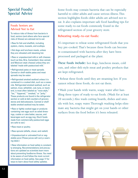# **Foods Seniors are Advised Not to Eat**

To reduce risks of illness from bacteria in food, seniors (and others who face special risks of illness) are advised not to eat:

- Raw fin fish and shellfish, including oysters, clams, mussels, and scallops.
- Hot dogs and luncheon meats, unless they are reheated until steaming hot.

• Raw or unpasteurized milk or soft cheeses (such as feta, Brie, Camembert, blue-veined, and Mexican-style cheese) unless they are labeled "made with pasteurized milk."

- Refrigerated pates or meat spreads. Canned or shelf-stable pates and meat spreads may be eaten
- Refrigerated smoked seafood unless it is contained in a cooked dish, such as a casserole. Refrigerated smoked seafood, such as salmon, trout, whitefish, cod, tuna, or mackerel, is most often labeled as "nova-style," "lox," "kippered," "smoked," or "jerky." These products are found in the refrigerator section or sold at deli counters of grocery stores and delicatessens. Canned or shelfstable smoked seafood may be eaten.

• Raw or lightly cooked eggs or products containing raw eggs such as salad dressings, cookie or cake batter, sauces, and beverages such as egg nog. (Such foods made from commercially pasteurized eggs are safe to eat.)

- Raw meat or poultry.
- Raw sprouts (alfalfa, clover, and radish)
- Unpasteurized or untreated fruit or vegetable juice (These juices will carry a warning label.)

• New information on food safety is constantly emerging. Recommendations and precautions are updated as scientists learn more about preventing foodborne illness. You need to be aware of and follow the most current information on food safety. See page 17 for ways to learn about food safety updates.

**Special Foods/** Some foods may contain bacteria that can be especially<br>**Special Advice** harmful to older adults and cause serious illness. This **Special Advice** harmful to older adults and cause serious illness.This section highlights foods older adults are advised not to eat. It also explains important safe food handling tips for some ready-to-eat foods commonly found in the refrigerated section of your grocery store.

# **Reheating ready-to-eat foods:**

It's important to reheat some refrigerated foods that you buy pre-cooked. That's because these foods can become re-contaminated with bacteria after they have been processed and packaged at the plant.

**These foods include:** hot dogs, luncheon meats, cold cuts, and other deli-style meat and poultry products that are kept refrigerated.

• Reheat these foods until they are steaming hot. If you cannot reheat these foods, do not eat them.

• Wash your hands with warm, soapy water after handling these types of ready-to-eat foods. (Wash for at least 20 seconds.) Also wash cutting boards, dishes and utensils with hot, soapy water.Thorough washing helps eliminate any bacteria that might get on your hands or other surfaces from the food before it's been reheated.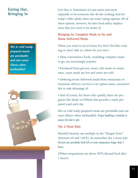*Hot or cold readyprepared meals are perishable and can cause illness when mishandled.*



**Eating Out,** Let's face it. Sometimes it's just easier and more **Bringing In** enjoyable to let someone else do the cooking. And for today's older adults there are many eating options. All of these options, however, do have food safety implications that you need to be aware of.

# **Bringing In: Complete Meals to Go and Home Delivered Meals**

When you want to eat at home but don't feel like cooking or aren't able to, where do you turn?

• Many convenience foods, including complete meals to go, are increasingly popular.

• Purchased from grocery stores, deli stores or restaurants, some meals are hot and some are cold.

• Ordering home delivered meals from restaurants or restaurant-delivery services is an option many consumers like to take advantage of.

• And of course, for those who qualify, there are programs like Meals on Wheels that provide a ready-prepared meal each day.

Hot or cold ready-prepared meals are perishable and can cause illness when mishandled. *Proper handling is essential to ensure the food is safe.*

# **The 2-Hour Rule**

Harmful bacteria can multiply in the "Danger Zone" (between 40 and 140°F). So remember the 2-hour rule. *Discard any perishable foods left at room temperature longer than 2 hours.*

(When temperatures are above 90°F, discard food after 1 hour!)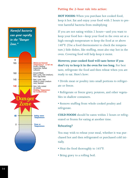

# **Putting the 2-hour rule into action:**

**HOT FOODS:** When you purchase hot cooked food, keep it hot. Eat and enjoy your food with 2 hours to prevent harmful bacteria from multiplying

If you are not eating within 2 hours—and you want to keep your food hot—keep your food in the oven set at a high enough temperature to keep the food at or above 140°F. (Use a food thermometer to check the temperature.) Side dishes, like stuffing, must also stay hot in the oven. Covering food will help keep it moist.

**However, your cooked food will taste better if you don't try to keep it in the oven for too long.** For best taste, refrigerate the food and then reheat when you are ready to eat. Here's how:

- Divide meat or poultry into small portions to refrigerate or freeze.
- Refrigerate or freeze gravy, potatoes, and other vegetables in shallow containers.
- Remove stuffing from whole cooked poultry and refrigerate.

**COLD FOODS** should be eaten within 2 hours or refrigerated or frozen for eating at another time.

# **Reheating?**

You may wish to reheat your meal, whether it was purchased hot and then refrigerated or purchased cold initially.

- Heat the food thoroughly to 165°F.
- Bring gravy to a rolling boil.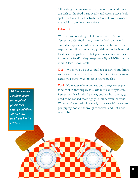• If heating in a microwave oven, cover food and rotate the dish so the food heats evenly and doesn't leave "cold spots" that could harbor bacteria. Consult your owner's manual for complete instructions.

### **Eating Out**

Whether you're eating out at a restaurant, a Senior Center, or a fast food diner, it can be both a safe and enjoyable experience. All food service establishments are required to follow food safety guidelines set by State and local health departments. But you can also take actions to insure your food's safety. Keep these Fight BAC!® rules in mind: Clean, Cook, Chill.

**Clean:** When you go out to eat, look at how clean things are before you even sit down. If it's not up to your standards, you might want to eat somewhere else.

**Cook:** No matter where you eat out, always order your food cooked thoroughly to a safe internal temperature. Remember that foods like meat, poultry, fish, and eggs need to be cooked thoroughly to kill harmful bacteria. When you're served a hot meal, make sure it's served to you piping hot and thoroughly cooked, and if it's not, send it back.

*All food service establishments are required to follow food safety guidelines set by State and local health officials.*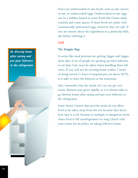Don't eat undercooked or raw foods, such as raw oysters or raw or undercooked eggs. Undercooked or raw eggs can be a hidden hazard in some foods like Caesar salad, custards and some sauces. If these foods are made with commercially pasteurized eggs, however, they are safe. If you are unsure about the ingredients in a particular dish, ask before ordering it.

# **Chill**

# **The Doggie Bag**

It seems like meal portions are getting bigger and bigger these days. A lot of people are packing up these leftovers to eat later. Care must be taken when handling these leftovers. If you will not be arriving home within 2 hours of being served (1 hour if temperatures are above 90°F), it is safer to leave the leftovers at the restaurant.

Also, remember that the inside of a car can get very warm. Bacteria may grow rapidly, so it is always safer to go directly home after eating and put your leftovers in the refrigerator.

Some Senior Centers that provide meals do not allow food to be taken away from the site because they know how easy it is for bacteria to multiply to dangerous levels when food is left unrefrigerated too long. Check with your center for its policy on taking leftovers home.

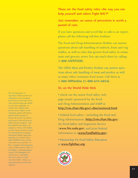**Those are the food safety rules—the way you can help yourself and others Fight BAC!®**

**Just remember: an ounce of prevention is worth a pound of cure.**

If you have questions and you'd like to talk to an expert, please call the following toll-free hotlines:

The Food and Drug Administration Hotline can answer questions about safe handling of seafood, fruits and vegetables, as well as rules that govern food safety in restaurants and grocery stores.You can reach them by calling: **1-888-SAFEFOOD.**

The USDA Meat and Poultry Hotline can answer questions about safe handling of meat and poultry as well as many other consumer food issues. Call them at **1-888-MPHotline (1-888-674-6854).**

### **Or, on the World Wide Web**

• check out the senior food safety web page jointly sponsored by the Food and Drug Administration and AARP at **http://vm.cfsan.fda.gov/~dms/seniorsd.html**

• Federal food safety—including the Food and Drug Administration (**http://vm.cfsan.fda.gov**) the Food Safety and Inspection Service (**www.fsis.usda.gov**) and joint-Federal information at (**www.FoodSafety.gov**)

• Partnership for Food Safety Education at **www.fightbac.org**



The U.S. Department of Agriculture (USDA) prohibits discrimination in all its programs and activities on the basis of race, color, national origin, age, disability, and where applicable, sex, marital status, familial status, parental status, religion, sexual orientation, genetic information, political beliefs, reprisal, or because all or part of an individual's income is derived from any public assistance program. (Not all prohibited bases apply to all programs.) Persons with disabilities who require alternative means for communication of program information (Braille, large print, audiotape, etc.) should contact USDA's TARGET Center at (202) 720–2600 (voice and TDD). To file a complaint of discrimination, write to USDA, Director, Office of Civil Rights, 1400 Independence Avenue, S.W., Washington, D.C. 20250–9410, or call (800) 795–3272 (voice) or (202) 720–6382 (TDD). USDA is an equal opportunity provider and employer.